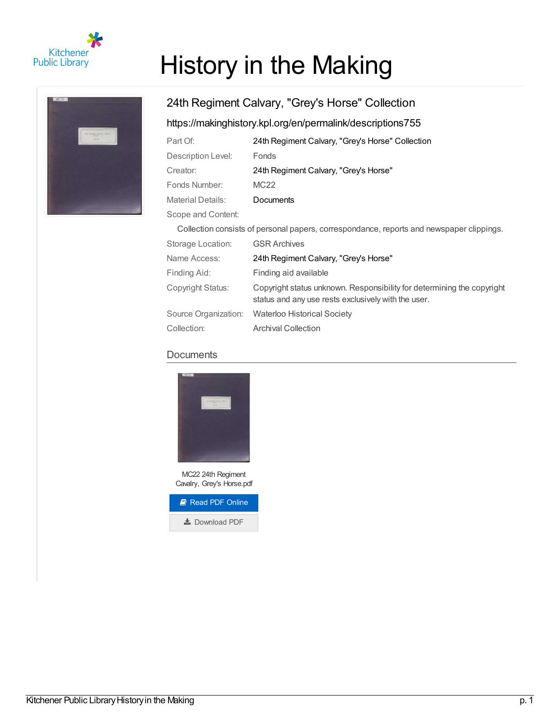

# History in the Making

# 24th Regiment Calvary, "Grey's Horse" Collection <https://makinghistory.kpl.org/en/permalink/descriptions755>

| Part Of:                                                                                 | 24th Regiment Calvary, "Grey's Horse" Collection |
|------------------------------------------------------------------------------------------|--------------------------------------------------|
| Description Level:                                                                       | Fonds                                            |
| Creator:                                                                                 | 24th Regiment Calvary, "Grey's Horse"            |
| Fonds Number:                                                                            | MC <sub>22</sub>                                 |
| <b>Material Details:</b>                                                                 | <b>Documents</b>                                 |
| Scope and Content:                                                                       |                                                  |
| Collection consists of personal papers, correspondance, reports and newspaper clippings. |                                                  |

| Oullculuti cu isisis ul persuriai papers, currespundance, repuns and newspaper clippings. |                                                                                                                               |
|-------------------------------------------------------------------------------------------|-------------------------------------------------------------------------------------------------------------------------------|
| Storage Location:                                                                         | <b>GSR Archives</b>                                                                                                           |
| Name Access:                                                                              | 24th Regiment Calvary, "Grey's Horse"                                                                                         |
| Finding Aid:                                                                              | Finding aid available                                                                                                         |
| Copyright Status:                                                                         | Copyright status unknown. Responsibility for determining the copyright<br>status and any use rests exclusively with the user. |
| Source Organization:                                                                      | <b>Waterloo Historical Society</b>                                                                                            |
| Collection:                                                                               | <b>Archival Collection</b>                                                                                                    |

### **Documents**



MC22 24th Regiment Cavalry, Grey's Horse.pdf

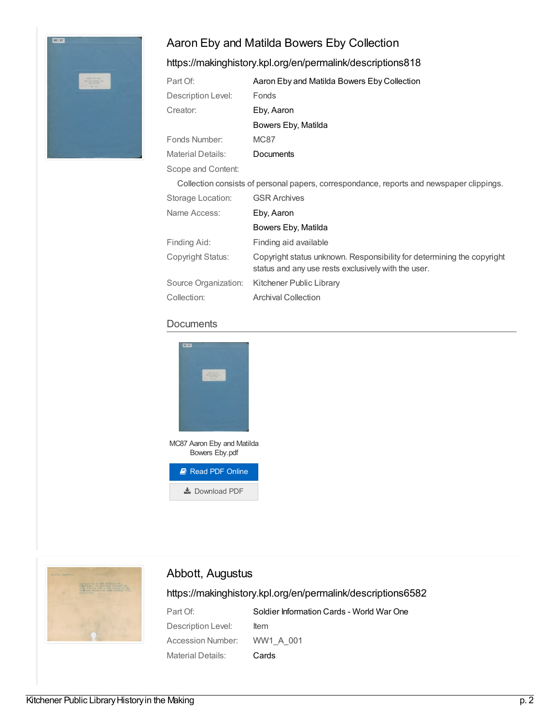# Aaron Eby and Matilda Bowers Eby Collection



#### <https://makinghistory.kpl.org/en/permalink/descriptions818>

| Part Of:                 | Aaron Eby and Matilda Bowers Eby Collection                                                                                   |
|--------------------------|-------------------------------------------------------------------------------------------------------------------------------|
| Description Level:       | Fonds                                                                                                                         |
| Creator:                 | Eby, Aaron                                                                                                                    |
|                          | Bowers Eby, Matilda                                                                                                           |
| Fonds Number:            | <b>MC87</b>                                                                                                                   |
| <b>Material Details:</b> | <b>Documents</b>                                                                                                              |
| Scope and Content:       |                                                                                                                               |
|                          | Collection consists of personal papers, correspondance, reports and newspaper clippings.                                      |
| Storage Location:        | <b>GSR Archives</b>                                                                                                           |
| Name Access:             | Eby, Aaron                                                                                                                    |
|                          | Bowers Eby, Matilda                                                                                                           |
| Finding Aid:             | Finding aid available                                                                                                         |
| Copyright Status:        | Copyright status unknown. Responsibility for determining the copyright<br>status and any use rests exclusively with the user. |
| Source Organization:     | Kitchener Public Library                                                                                                      |

Collection: Archival Collection





## Abbott, Augustus

| Part Of:                    | Soldier Information Cards - World War One |
|-----------------------------|-------------------------------------------|
| Description Level:          | ltem                                      |
| Accession Number: WW1 A 001 |                                           |
| Material Details:           | Cards                                     |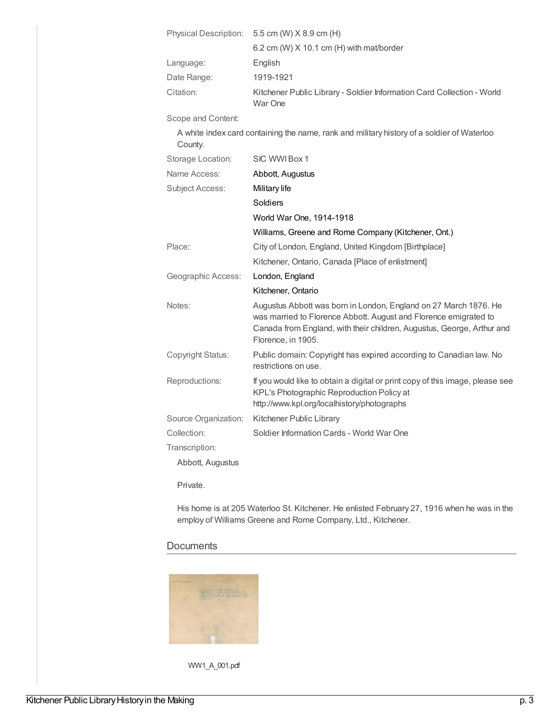| <b>Physical Description:</b> | 5.5 cm (W) X 8.9 cm (H)                                                                                                                                                                                                              |
|------------------------------|--------------------------------------------------------------------------------------------------------------------------------------------------------------------------------------------------------------------------------------|
|                              | 6.2 cm (W) X 10.1 cm (H) with mat/border                                                                                                                                                                                             |
| Language:                    | English                                                                                                                                                                                                                              |
| Date Range:                  | 1919-1921                                                                                                                                                                                                                            |
| Citation:                    | Kitchener Public Library - Soldier Information Card Collection - World<br>War One                                                                                                                                                    |
| Scope and Content:           |                                                                                                                                                                                                                                      |
| County.                      | A white index card containing the name, rank and military history of a soldier of Waterloo                                                                                                                                           |
| Storage Location:            | SIC WWI Box 1                                                                                                                                                                                                                        |
| Name Access:                 | Abbott, Augustus                                                                                                                                                                                                                     |
| <b>Subject Access:</b>       | Military life                                                                                                                                                                                                                        |
|                              | Soldiers                                                                                                                                                                                                                             |
|                              | World War One, 1914-1918                                                                                                                                                                                                             |
|                              | Williams, Greene and Rome Company (Kitchener, Ont.)                                                                                                                                                                                  |
| Place:                       | City of London, England, United Kingdom [Birthplace]                                                                                                                                                                                 |
|                              | Kitchener, Ontario, Canada [Place of enlistment]                                                                                                                                                                                     |
| Geographic Access:           | London, England                                                                                                                                                                                                                      |
|                              | Kitchener, Ontario                                                                                                                                                                                                                   |
| Notes:                       | Augustus Abbott was born in London, England on 27 March 1876. He<br>was married to Florence Abbott. August and Florence emigrated to<br>Canada from England, with their children, Augustus, George, Arthur and<br>Florence, in 1905. |
| Copyright Status:            | Public domain: Copyright has expired according to Canadian law. No<br>restrictions on use.                                                                                                                                           |
| Reproductions:               | If you would like to obtain a digital or print copy of this image, please see<br>KPL's Photographic Reproduction Policy at<br>http://www.kpl.org/localhistory/photographs                                                            |
| Source Organization:         | Kitchener Public Library                                                                                                                                                                                                             |
| Collection:                  | Soldier Information Cards - World War One                                                                                                                                                                                            |
| Transcription:               |                                                                                                                                                                                                                                      |
| Abbott, Augustus             |                                                                                                                                                                                                                                      |

Private.

His home is at 205 Waterloo St. Kitchener. He enlisted February 27, 1916 when he was in the employ of Williams Greene and Rome Company, Ltd., Kitchener.

#### **Documents**



WW1\_A\_001.pdf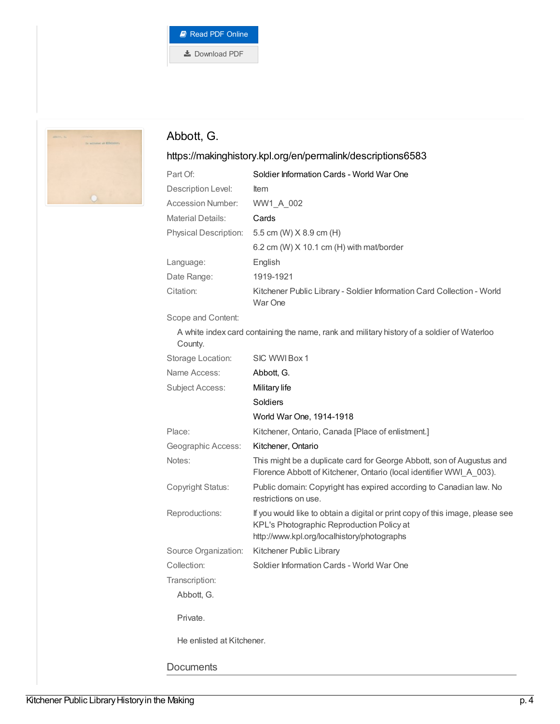



# Abbott, G.

| Part Of:                  | Soldier Information Cards - World War One                                                                                                                                 |
|---------------------------|---------------------------------------------------------------------------------------------------------------------------------------------------------------------------|
| Description Level:        | ltem                                                                                                                                                                      |
| Accession Number:         | WW1 A 002                                                                                                                                                                 |
| <b>Material Details:</b>  | Cards                                                                                                                                                                     |
| Physical Description:     | 5.5 cm (W) X 8.9 cm (H)                                                                                                                                                   |
|                           | 6.2 cm (W) X 10.1 cm (H) with mat/border                                                                                                                                  |
| Language:                 | English                                                                                                                                                                   |
| Date Range:               | 1919-1921                                                                                                                                                                 |
| Citation:                 | Kitchener Public Library - Soldier Information Card Collection - World<br>War One                                                                                         |
| Scope and Content:        |                                                                                                                                                                           |
| County.                   | A white index card containing the name, rank and military history of a soldier of Waterloo                                                                                |
| Storage Location:         | SIC WWI Box 1                                                                                                                                                             |
| Name Access:              | Abbott, G.                                                                                                                                                                |
| <b>Subject Access:</b>    | Military life                                                                                                                                                             |
|                           | Soldiers                                                                                                                                                                  |
|                           | World War One, 1914-1918                                                                                                                                                  |
| Place:                    | Kitchener, Ontario, Canada [Place of enlistment.]                                                                                                                         |
| Geographic Access:        | Kitchener, Ontario                                                                                                                                                        |
| Notes:                    | This might be a duplicate card for George Abbott, son of Augustus and<br>Florence Abbott of Kitchener, Ontario (local identifier WWI_A_003).                              |
| Copyright Status:         | Public domain: Copyright has expired according to Canadian law. No<br>restrictions on use.                                                                                |
| Reproductions:            | If you would like to obtain a digital or print copy of this image, please see<br>KPL's Photographic Reproduction Policy at<br>http://www.kpl.org/localhistory/photographs |
| Source Organization:      | Kitchener Public Library                                                                                                                                                  |
| Collection:               | Soldier Information Cards - World War One                                                                                                                                 |
| Transcription:            |                                                                                                                                                                           |
| Abbott, G.                |                                                                                                                                                                           |
| Private.                  |                                                                                                                                                                           |
| He enlisted at Kitchener. |                                                                                                                                                                           |
| <b>Documents</b>          |                                                                                                                                                                           |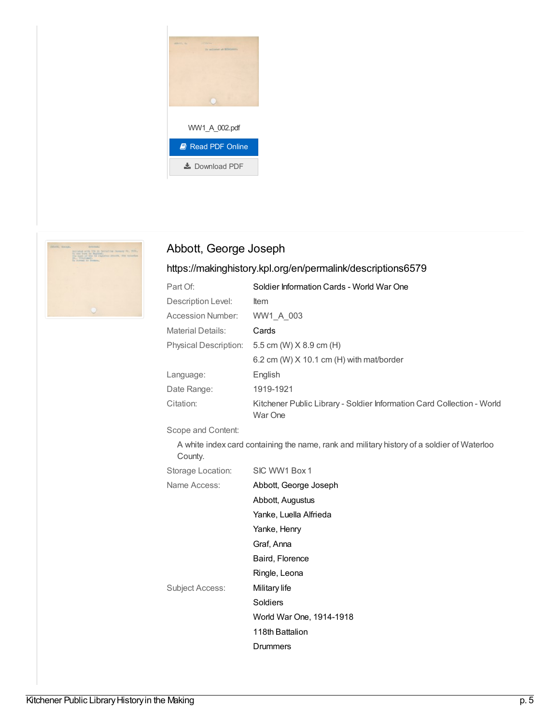



# Abbott, George Joseph

# <https://makinghistory.kpl.org/en/permalink/descriptions6579>

| Part Of:                 | Soldier Information Cards - World War One                                                  |
|--------------------------|--------------------------------------------------------------------------------------------|
| Description Level:       | <b>Item</b>                                                                                |
| <b>Accession Number:</b> | WW1_A_003                                                                                  |
| <b>Material Details:</b> | Cards                                                                                      |
|                          | Physical Description: 5.5 cm (W) X 8.9 cm (H)                                              |
|                          | 6.2 cm (W) $X$ 10.1 cm (H) with mat/border                                                 |
| Language:                | English                                                                                    |
| Date Range:              | 1919-1921                                                                                  |
| Citation:                | Kitchener Public Library - Soldier Information Card Collection - World<br>War One          |
| Scope and Content:       |                                                                                            |
| County.                  | A white index card containing the name, rank and military history of a soldier of Waterloo |
| Storage Location:        | SIC WW1 Box 1                                                                              |
| Name Access:             | Abbott, George Joseph                                                                      |
|                          | Abbott, Augustus                                                                           |
|                          | Yanke, Luella Alfrieda                                                                     |
|                          | Yanke, Henry                                                                               |
|                          | Graf, Anna                                                                                 |
|                          | Baird, Florence                                                                            |
|                          | Ringle, Leona                                                                              |

Subject Access: [Military](https://makinghistory.kpl.org/en/list?q=topic%253a%2522Military+life%2522&p=1&ps=&sort=title_sort+asc) life

[Soldiers](https://makinghistory.kpl.org/en/list?q=topic%253a%2522Soldiers%2522&p=1&ps=&sort=title_sort+asc)

118th [Battalion](https://makinghistory.kpl.org/en/list?q=topic%253a%2522118th+Battalion%2522&p=1&ps=&sort=title_sort+asc) **[Drummers](https://makinghistory.kpl.org/en/list?q=topic%253a%2522Drummers%2522&p=1&ps=&sort=title_sort+asc)** 

World War One, [1914-1918](https://makinghistory.kpl.org/en/list?q=topic%253a%2522World+War+One%252c+1914-1918%2522&p=1&ps=&sort=title_sort+asc)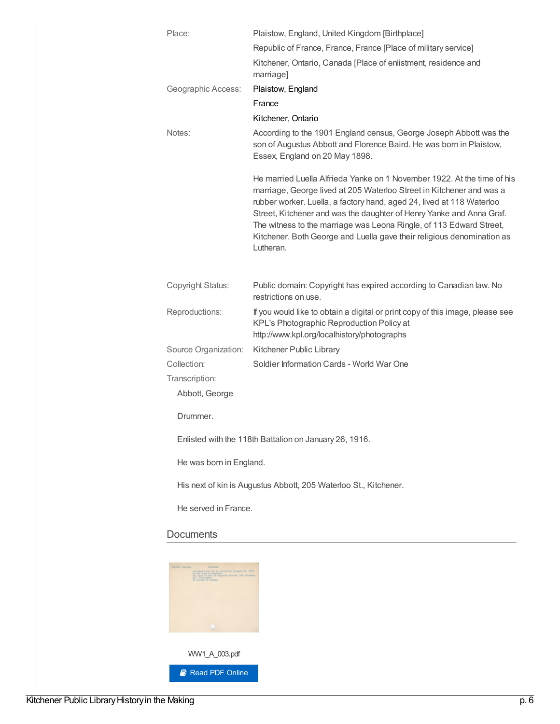| Place:                           | Plaistow, England, United Kingdom [Birthplace]                                                                                                                                                                                                                                                                                                                                                                                                                 |
|----------------------------------|----------------------------------------------------------------------------------------------------------------------------------------------------------------------------------------------------------------------------------------------------------------------------------------------------------------------------------------------------------------------------------------------------------------------------------------------------------------|
|                                  | Republic of France, France, France [Place of military service]                                                                                                                                                                                                                                                                                                                                                                                                 |
|                                  | Kitchener, Ontario, Canada [Place of enlistment, residence and<br>marriage]                                                                                                                                                                                                                                                                                                                                                                                    |
| Geographic Access:               | Plaistow, England                                                                                                                                                                                                                                                                                                                                                                                                                                              |
|                                  | France                                                                                                                                                                                                                                                                                                                                                                                                                                                         |
|                                  | Kitchener, Ontario                                                                                                                                                                                                                                                                                                                                                                                                                                             |
| Notes:                           | According to the 1901 England census, George Joseph Abbott was the<br>son of Augustus Abbott and Florence Baird. He was born in Plaistow,<br>Essex, England on 20 May 1898.                                                                                                                                                                                                                                                                                    |
|                                  | He married Luella Alfrieda Yanke on 1 November 1922. At the time of his<br>marriage, George lived at 205 Waterloo Street in Kitchener and was a<br>rubber worker. Luella, a factory hand, aged 24, lived at 118 Waterloo<br>Street, Kitchener and was the daughter of Henry Yanke and Anna Graf.<br>The witness to the marriage was Leona Ringle, of 113 Edward Street,<br>Kitchener. Both George and Luella gave their religious denomination as<br>Lutheran. |
| <b>Copyright Status:</b>         | Public domain: Copyright has expired according to Canadian law. No<br>restrictions on use.                                                                                                                                                                                                                                                                                                                                                                     |
| Reproductions:                   | If you would like to obtain a digital or print copy of this image, please see<br>KPL's Photographic Reproduction Policy at<br>http://www.kpl.org/localhistory/photographs                                                                                                                                                                                                                                                                                      |
| Source Organization:             | Kitchener Public Library                                                                                                                                                                                                                                                                                                                                                                                                                                       |
| Collection:                      | Soldier Information Cards - World War One                                                                                                                                                                                                                                                                                                                                                                                                                      |
| Transcription:<br>Abbott, George |                                                                                                                                                                                                                                                                                                                                                                                                                                                                |
| Drummer.                         |                                                                                                                                                                                                                                                                                                                                                                                                                                                                |
|                                  | Enlisted with the 118th Battalion on January 26, 1916.                                                                                                                                                                                                                                                                                                                                                                                                         |
| He was born in England.          |                                                                                                                                                                                                                                                                                                                                                                                                                                                                |
|                                  | His next of kin is Augustus Abbott, 205 Waterloo St., Kitchener.                                                                                                                                                                                                                                                                                                                                                                                               |
| He served in France.             |                                                                                                                                                                                                                                                                                                                                                                                                                                                                |
|                                  |                                                                                                                                                                                                                                                                                                                                                                                                                                                                |

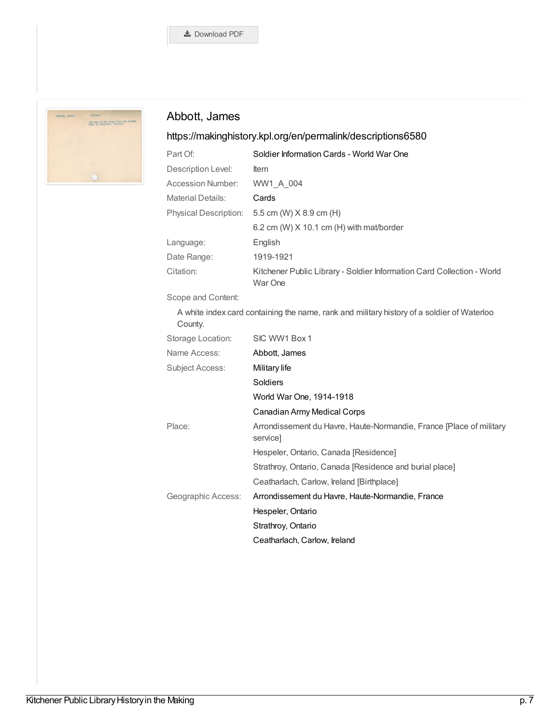

# Abbott, James

## <https://makinghistory.kpl.org/en/permalink/descriptions6580>

| Part Of:                     | Soldier Information Cards - World War One                                         |
|------------------------------|-----------------------------------------------------------------------------------|
| Description Level:           | <b>Item</b>                                                                       |
| Accession Number:            | WW1 A 004                                                                         |
| <b>Material Details:</b>     | Cards                                                                             |
| <b>Physical Description:</b> | 5.5 cm (W) X 8.9 cm (H)                                                           |
|                              | 6.2 cm (W) $X$ 10.1 cm (H) with mat/border                                        |
| Language:                    | English                                                                           |
| Date Range:                  | 1919-1921                                                                         |
| Citation:                    | Kitchener Public Library - Soldier Information Card Collection - World<br>War One |

#### Scope and Content:

A white index card containing the name, rank and military history of a soldier of Waterloo County.

| Storage Location:      | SIC WW1 Box 1                                                                   |
|------------------------|---------------------------------------------------------------------------------|
| Name Access:           | Abbott, James                                                                   |
| <b>Subject Access:</b> | Military life                                                                   |
|                        | <b>Soldiers</b>                                                                 |
|                        | World War One, 1914-1918                                                        |
|                        | Canadian Army Medical Corps                                                     |
| Place:                 | Arrondissement du Havre, Haute-Normandie, France [Place of military<br>servicel |
|                        | Hespeler, Ontario, Canada [Residence]                                           |
|                        | Strathroy, Ontario, Canada [Residence and burial place]                         |
|                        | Ceatharlach, Carlow, Ireland [Birthplace]                                       |
| Geographic Access:     | Arrondissement du Havre, Haute-Normandie, France                                |
|                        | Hespeler, Ontario                                                               |
|                        | Strathroy, Ontario                                                              |
|                        | Ceatharlach, Carlow, Ireland                                                    |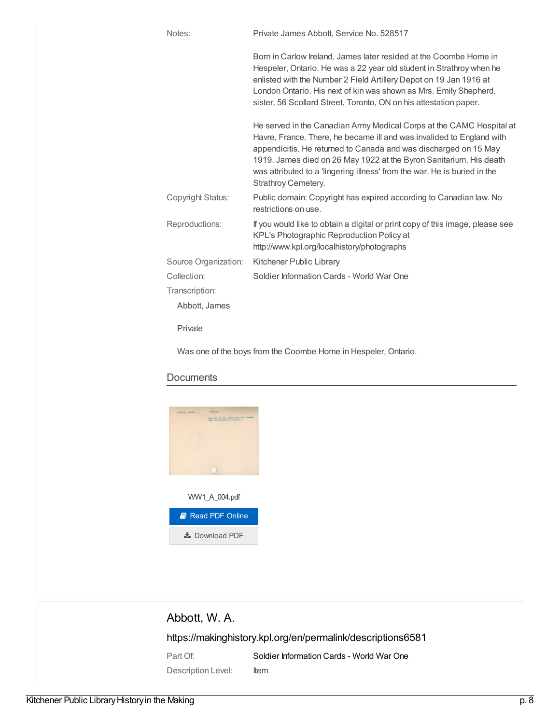| Notes:               | Private James Abbott, Service No. 528517                                                                                                                                                                                                                                                                                                                                                    |
|----------------------|---------------------------------------------------------------------------------------------------------------------------------------------------------------------------------------------------------------------------------------------------------------------------------------------------------------------------------------------------------------------------------------------|
|                      | Born in Carlow Ireland, James later resided at the Coombe Home in<br>Hespeler, Ontario. He was a 22 year old student in Strathroy when he<br>enlisted with the Number 2 Field Artillery Depot on 19 Jan 1916 at<br>London Ontario. His next of kin was shown as Mrs. Emily Shepherd,<br>sister, 56 Scollard Street, Toronto, ON on his attestation paper.                                   |
|                      | He served in the Canadian Army Medical Corps at the CAMC Hospital at<br>Havre, France. There, he became ill and was invalided to England with<br>appendicitis. He returned to Canada and was discharged on 15 May<br>1919. James died on 26 May 1922 at the Byron Sanitarium. His death<br>was attributed to a 'lingering illness' from the war. He is buried in the<br>Strathroy Cemetery. |
| Copyright Status:    | Public domain: Copyright has expired according to Canadian law. No<br>restrictions on use.                                                                                                                                                                                                                                                                                                  |
| Reproductions:       | If you would like to obtain a digital or print copy of this image, please see<br>KPL's Photographic Reproduction Policy at<br>http://www.kpl.org/localhistory/photographs                                                                                                                                                                                                                   |
| Source Organization: | Kitchener Public Library                                                                                                                                                                                                                                                                                                                                                                    |
| Collection:          | Soldier Information Cards - World War One                                                                                                                                                                                                                                                                                                                                                   |
| Transcription:       |                                                                                                                                                                                                                                                                                                                                                                                             |
| Abbott, James        |                                                                                                                                                                                                                                                                                                                                                                                             |
| Private              |                                                                                                                                                                                                                                                                                                                                                                                             |

Was one of the boys from the Coombe Home in Hespeler, Ontario.

#### **Documents**



# Abbott, W. A.

<https://makinghistory.kpl.org/en/permalink/descriptions6581>

Part Of: Soldier [Information](https://makinghistory.kpl.org/en/list?q=setName%253a%2522Soldier+Information+Cards+-+World+War+One%2522&p=1&ps=&sort=title_sort+asc) Cards - World War One Description Level: Item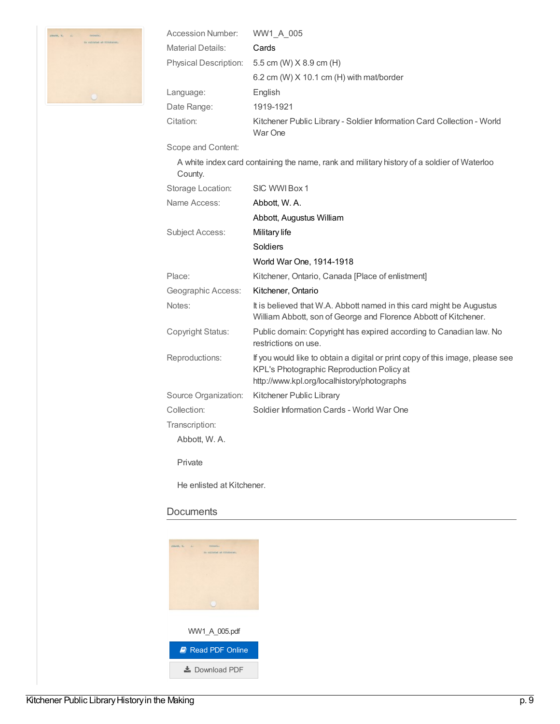

| Accession Number:        | WW1 A 005                                                                         |
|--------------------------|-----------------------------------------------------------------------------------|
| <b>Material Details:</b> | Cards                                                                             |
|                          | Physical Description: 5.5 cm (W) X 8.9 cm (H)                                     |
|                          | 6.2 cm (W) $X$ 10.1 cm (H) with mat/border                                        |
| Language:                | English                                                                           |
| Date Range:              | 1919-1921                                                                         |
| Citation:                | Kitchener Public Library - Soldier Information Card Collection - World<br>War One |

#### Scope and Content:

A white index card containing the name, rank and military history of a soldier of Waterloo County. Storage Location: SIC WWIBox 1 Name Access: [Abbott,](https://makinghistory.kpl.org/en/list?q=name%253a%2522Abbott%252c+W.+A.%2522&p=1&ps=&sort=title_sort+asc) W. A. Abbott, [Augustus](https://makinghistory.kpl.org/en/list?q=name%253a%2522Abbott%252c+Augustus+William%2522&p=1&ps=&sort=title_sort+asc) William Subject Access: [Military](https://makinghistory.kpl.org/en/list?q=topic%253a%2522Military+life%2522&p=1&ps=&sort=title_sort+asc) life [Soldiers](https://makinghistory.kpl.org/en/list?q=topic%253a%2522Soldiers%2522&p=1&ps=&sort=title_sort+asc) World War One, [1914-1918](https://makinghistory.kpl.org/en/list?q=topic%253a%2522World+War+One%252c+1914-1918%2522&p=1&ps=&sort=title_sort+asc) Place: Kitchener, Ontario, Canada [Place of enlistment] Geographic Access: [Kitchener,](https://makinghistory.kpl.org/en/list?q=place%253a%2522Kitchener%252c+Ontario%2522&p=1&ps=&sort=title_sort+asc) Ontario Notes: It is believed that W.A. Abbott named in this card might be Augustus William Abbott, son of George and Florence Abbott of Kitchener. Copyright Status: Public domain: Copyright has expired according to Canadian law. No restrictions on use. Reproductions: If you would like to obtain a digital or print copy of this image, please see KPL's Photographic Reproduction Policy at http://www.kpl.org/localhistory/photographs Source Organization: Kitchener Public Library Collection: Soldier Information Cards - World War One Transcription: Abbott, W. A. Private He enlisted at Kitchener.

#### **Documents**

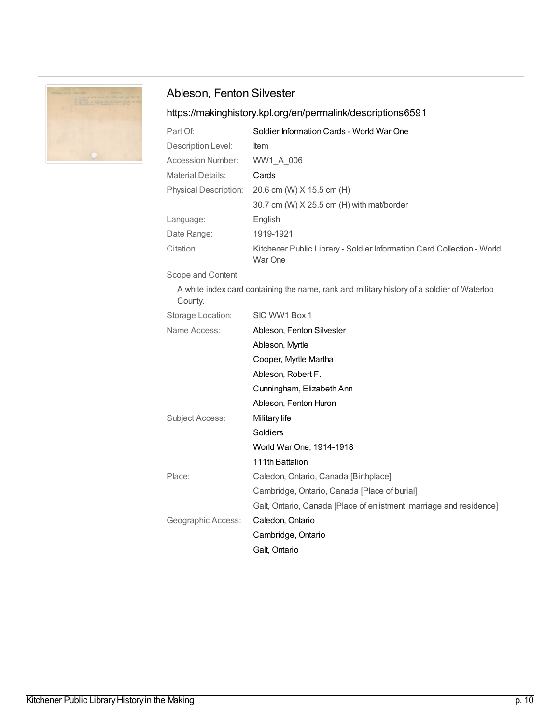

# Ableson, Fenton Silvester

# <https://makinghistory.kpl.org/en/permalink/descriptions6591>

| Part Of:                     | Soldier Information Cards - World War One                                         |
|------------------------------|-----------------------------------------------------------------------------------|
| Description Level:           | <b>Item</b>                                                                       |
| <b>Accession Number:</b>     | WW1 A 006                                                                         |
| <b>Material Details:</b>     | Cards                                                                             |
| <b>Physical Description:</b> | 20.6 cm (W) X 15.5 cm (H)                                                         |
|                              | 30.7 cm (W) $X$ 25.5 cm (H) with mat/border                                       |
| Language:                    | English                                                                           |
| Date Range:                  | 1919-1921                                                                         |
| Citation:                    | Kitchener Public Library - Soldier Information Card Collection - World<br>War One |

Scope and Content:

A white index card containing the name, rank and military history of a soldier of Waterloo County.

| Storage Location:  | SIC WW1 Box 1                                                       |
|--------------------|---------------------------------------------------------------------|
| Name Access:       | Ableson, Fenton Silvester                                           |
|                    | Ableson, Myrtle                                                     |
|                    | Cooper, Myrtle Martha                                               |
|                    | Ableson, Robert F.                                                  |
|                    | Cunningham, Elizabeth Ann                                           |
|                    | Ableson, Fenton Huron                                               |
| Subject Access:    | Military life                                                       |
|                    | Soldiers                                                            |
|                    | World War One, 1914-1918                                            |
|                    | 111th Battalion                                                     |
| Place:             | Caledon, Ontario, Canada [Birthplace]                               |
|                    | Cambridge, Ontario, Canada [Place of burial]                        |
|                    | Galt, Ontario, Canada [Place of enlistment, marriage and residence] |
| Geographic Access: | Caledon, Ontario                                                    |
|                    | Cambridge, Ontario                                                  |
|                    | Galt, Ontario                                                       |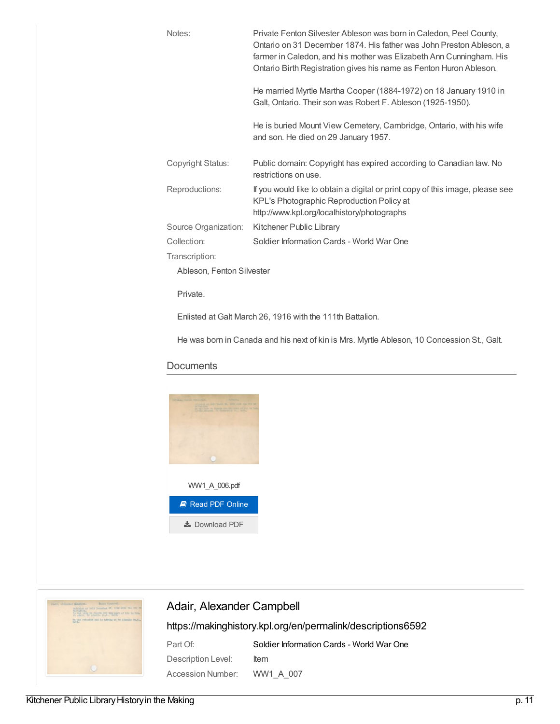| Notes:                    | Private Fenton Silvester Ableson was born in Caledon, Peel County,<br>Ontario on 31 December 1874. His father was John Preston Ableson, a<br>farmer in Caledon, and his mother was Elizabeth Ann Cunningham. His<br>Ontario Birth Registration gives his name as Fenton Huron Ableson. |
|---------------------------|----------------------------------------------------------------------------------------------------------------------------------------------------------------------------------------------------------------------------------------------------------------------------------------|
|                           | He married Myrtle Martha Cooper (1884-1972) on 18 January 1910 in<br>Galt, Ontario. Their son was Robert F. Ableson (1925-1950).                                                                                                                                                       |
|                           | He is buried Mount View Cemetery, Cambridge, Ontario, with his wife<br>and son. He died on 29 January 1957.                                                                                                                                                                            |
| Copyright Status:         | Public domain: Copyright has expired according to Canadian law. No<br>restrictions on use.                                                                                                                                                                                             |
| Reproductions:            | If you would like to obtain a digital or print copy of this image, please see<br>KPL's Photographic Reproduction Policy at<br>http://www.kpl.org/localhistory/photographs                                                                                                              |
| Source Organization:      | Kitchener Public Library                                                                                                                                                                                                                                                               |
| Collection:               | Soldier Information Cards - World War One                                                                                                                                                                                                                                              |
| Transcription:            |                                                                                                                                                                                                                                                                                        |
| Ableson, Fenton Silvester |                                                                                                                                                                                                                                                                                        |
| Private.                  |                                                                                                                                                                                                                                                                                        |

Enlisted at Galt March 26, 1916 with the 111th Battalion.

He was born in Canada and his next of kin is Mrs. Myrtle Ableson, 10 Concession St., Galt.

#### **Documents**





# Adair, Alexander Campbell

| Part Of:           | Soldier Information Cards - World War One |
|--------------------|-------------------------------------------|
| Description Level: | ltem                                      |
| Accession Number:  | WW1 A 007                                 |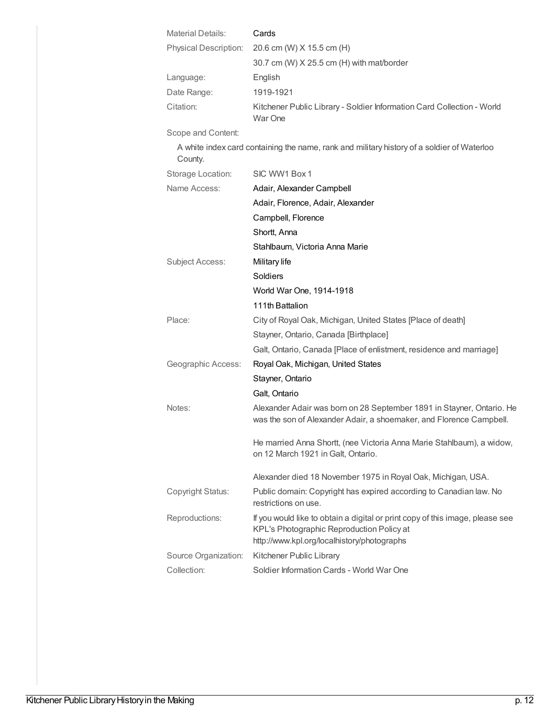| <b>Material Details:</b> | Cards                                                                                                                                                                     |
|--------------------------|---------------------------------------------------------------------------------------------------------------------------------------------------------------------------|
| Physical Description:    | 20.6 cm (W) X 15.5 cm (H)                                                                                                                                                 |
|                          | 30.7 cm (W) X 25.5 cm (H) with mat/border                                                                                                                                 |
| Language:                | English                                                                                                                                                                   |
| Date Range:              | 1919-1921                                                                                                                                                                 |
| Citation:                | Kitchener Public Library - Soldier Information Card Collection - World<br>War One                                                                                         |
| Scope and Content:       |                                                                                                                                                                           |
| County.                  | A white index card containing the name, rank and military history of a soldier of Waterloo                                                                                |
| Storage Location:        | SIC WW1 Box 1                                                                                                                                                             |
| Name Access:             | Adair, Alexander Campbell                                                                                                                                                 |
|                          | Adair, Florence, Adair, Alexander                                                                                                                                         |
|                          | Campbell, Florence                                                                                                                                                        |
|                          | Shortt, Anna                                                                                                                                                              |
|                          | Stahlbaum, Victoria Anna Marie                                                                                                                                            |
| <b>Subject Access:</b>   | Military life                                                                                                                                                             |
|                          | Soldiers                                                                                                                                                                  |
|                          | World War One, 1914-1918                                                                                                                                                  |
|                          | 111th Battalion                                                                                                                                                           |
| Place:                   | City of Royal Oak, Michigan, United States [Place of death]                                                                                                               |
|                          | Stayner, Ontario, Canada [Birthplace]                                                                                                                                     |
|                          | Galt, Ontario, Canada [Place of enlistment, residence and marriage]                                                                                                       |
| Geographic Access:       | Royal Oak, Michigan, United States                                                                                                                                        |
|                          | Stayner, Ontario                                                                                                                                                          |
|                          | Galt, Ontario                                                                                                                                                             |
| Notes:                   | Alexander Adair was born on 28 September 1891 in Stayner, Ontario. He<br>was the son of Alexander Adair, a shoemaker, and Florence Campbell.                              |
|                          | He married Anna Shortt, (nee Victoria Anna Marie Stahlbaum), a widow,<br>on 12 March 1921 in Galt, Ontario.                                                               |
|                          | Alexander died 18 November 1975 in Royal Oak, Michigan, USA.                                                                                                              |
| <b>Copyright Status:</b> | Public domain: Copyright has expired according to Canadian law. No<br>restrictions on use.                                                                                |
| Reproductions:           | If you would like to obtain a digital or print copy of this image, please see<br>KPL's Photographic Reproduction Policy at<br>http://www.kpl.org/localhistory/photographs |
| Source Organization:     | Kitchener Public Library                                                                                                                                                  |
| Collection:              | Soldier Information Cards - World War One                                                                                                                                 |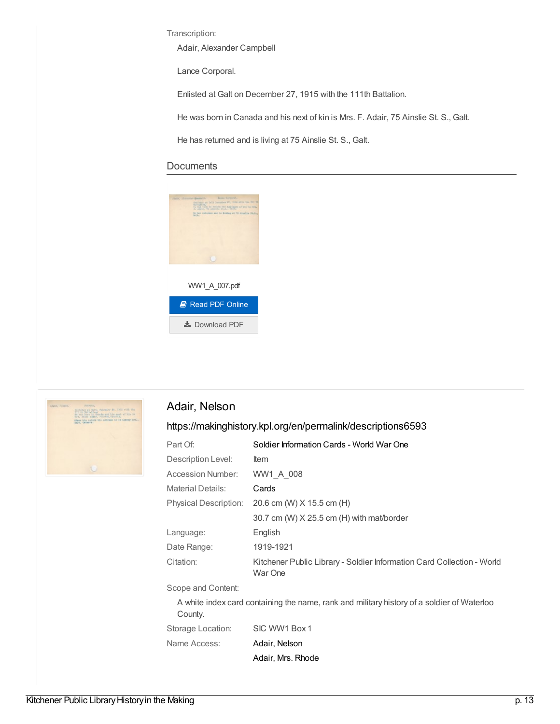Transcription:

Adair, Alexander Campbell

Lance Corporal.

Enlisted at Galt on December 27, 1915 with the 111th Battalion.

He was born in Canada and his next of kin is Mrs. F. Adair, 75 Ainslie St. S., Galt.

He has returned and is living at 75 Ainslie St. S., Galt.

#### **Documents**





### Adair, Nelson

| Part Of:                                                                                              | Soldier Information Cards - World War One                                         |
|-------------------------------------------------------------------------------------------------------|-----------------------------------------------------------------------------------|
| Description Level:                                                                                    | <b>Item</b>                                                                       |
| Accession Number:                                                                                     | WW1 A 008                                                                         |
| <b>Material Details:</b>                                                                              | Cards                                                                             |
| <b>Physical Description:</b>                                                                          | 20.6 cm (W) X 15.5 cm (H)                                                         |
|                                                                                                       | $30.7$ cm (W) $X$ 25.5 cm (H) with mat/border                                     |
| Language:                                                                                             | English                                                                           |
| Date Range:                                                                                           | 1919-1921                                                                         |
| Citation:                                                                                             | Kitchener Public Library - Soldier Information Card Collection - World<br>War One |
| Scope and Content:                                                                                    |                                                                                   |
| A white index card containing the name, rank and military history of a soldier of Waterloo<br>County. |                                                                                   |
| Storage Location:                                                                                     | SIC WW1 Box 1                                                                     |
| Name Access:                                                                                          | Adair, Nelson                                                                     |
|                                                                                                       | Adair, Mrs. Rhode                                                                 |